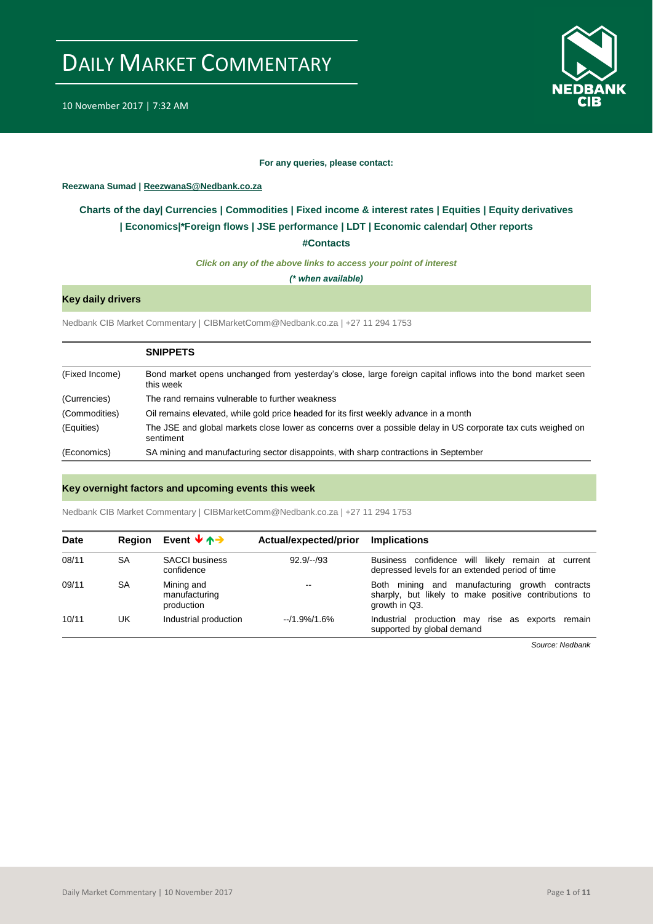

10 November 2017 | 7:32 AM

#### **For any queries, please contact:**

## <span id="page-0-0"></span>**Reezwana Sumad | ReezwanaS@Nedbank.co.za**

## **Charts of the day| [Currencies](#page-2-0) [| Commodities](#page-3-0) | [Fixed income & interest rates](#page-1-0) | [Equities](#page-4-0) | Equity derivatives | [Economics|\\*](#page-7-0)Foreign flows [| JSE performance](#page-4-1) | [LDT](#page-5-0) | [Economic calendar|](#page-8-0) Other reports**

**[#Contacts](#page-9-0)**

*Click on any of the above links to access your point of interest*

*(\* when available)*

## **Key daily drivers**

Nedbank CIB Market Commentary | CIBMarketComm@Nedbank.co.za | +27 11 294 1753

|                | <b>SNIPPETS</b>                                                                                                           |
|----------------|---------------------------------------------------------------------------------------------------------------------------|
| (Fixed Income) | Bond market opens unchanged from yesterday's close, large foreign capital inflows into the bond market seen<br>this week  |
| (Currencies)   | The rand remains vulnerable to further weakness                                                                           |
| (Commodities)  | Oil remains elevated, while gold price headed for its first weekly advance in a month                                     |
| (Equities)     | The JSE and global markets close lower as concerns over a possible delay in US corporate tax cuts weighed on<br>sentiment |
| (Economics)    | SA mining and manufacturing sector disappoints, with sharp contractions in September                                      |

#### **Key overnight factors and upcoming events this week**

Nedbank CIB Market Commentary | CIBMarketComm@Nedbank.co.za | +27 11 294 1753

| <b>Date</b> | <b>Region</b> | Event $\forall \land \rightarrow$         | Actual/expected/prior | <b>Implications</b>                                                                                                      |
|-------------|---------------|-------------------------------------------|-----------------------|--------------------------------------------------------------------------------------------------------------------------|
| 08/11       | SA            | <b>SACCI</b> business<br>confidence       | $92.9/-/93$           | Business confidence will likely remain at current<br>depressed levels for an extended period of time                     |
| 09/11       | SA            | Mining and<br>manufacturing<br>production | $- -$                 | Both mining and manufacturing growth contracts<br>sharply, but likely to make positive contributions to<br>growth in Q3. |
| 10/11       | UK            | Industrial production                     | $-11.9\%/1.6\%$       | Industrial production may rise as exports remain<br>supported by global demand                                           |

*Source: Nedbank*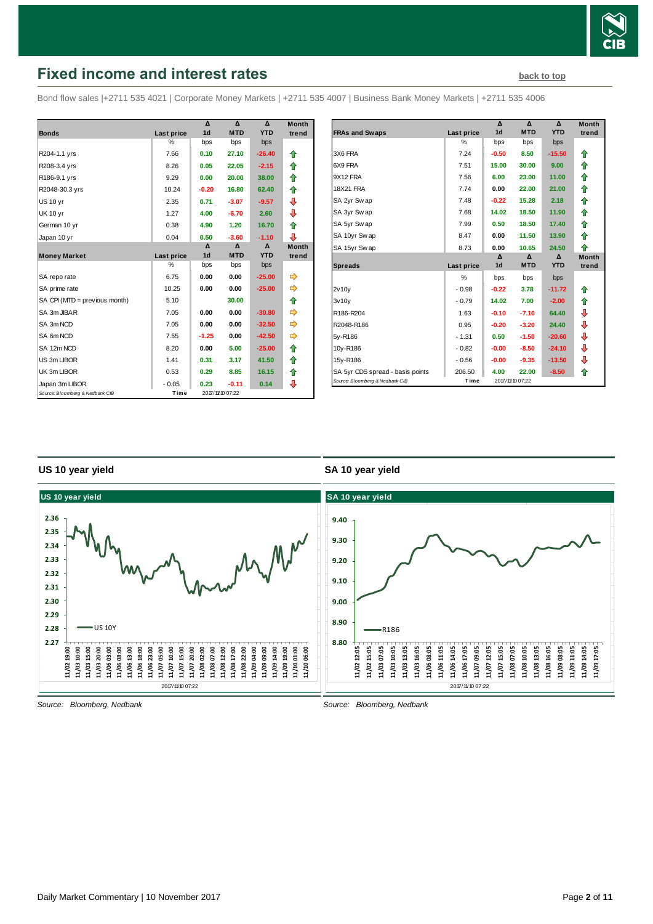

# <span id="page-1-0"></span>**Fixed income and interest rates [back to top](#page-0-0)** back to top

Bond flow sales |+2711 535 4021 | Corporate Money Markets | +2711 535 4007 | Business Bank Money Markets | +2711 535 4006

|                                 |               | Δ              | $\Lambda$        | $\Lambda$  | <b>Month</b> |
|---------------------------------|---------------|----------------|------------------|------------|--------------|
| <b>Bonds</b>                    | Last price    | 1 <sub>d</sub> | <b>MTD</b>       | <b>YTD</b> | trend        |
|                                 | $\frac{0}{0}$ | bps            | bps              | bps        |              |
| R204-1.1 yrs                    | 7.66          | 0.10           | 27.10            | $-26.40$   | ⇑            |
| R208-3.4 yrs                    | 8.26          | 0.05           | 22.05            | $-2.15$    | ⇑            |
| R186-9.1 yrs                    | 9.29          | 0.00           | 20.00            | 38.00      | ⇑            |
| R2048-30.3 yrs                  | 10.24         | $-0.20$        | 16.80            | 62.40      | ♠            |
| <b>US 10 yr</b>                 | 2.35          | 0.71           | $-3.07$          | $-9.57$    | ⊕            |
| <b>UK 10 yr</b>                 | 1.27          | 4.00           | $-6.70$          | 2.60       | ⊕            |
| German 10 yr                    | 0.38          | 4.90           | 1.20             | 16.70      | ⇑            |
| Japan 10 yr                     | 0.04          | 0.50           | $-3.60$          | $-1.10$    | ⊕            |
|                                 |               | Δ              | Δ                | Δ          | <b>Month</b> |
| <b>Money Market</b>             | Last price    | 1 <sub>d</sub> | <b>MTD</b>       | <b>YTD</b> | trend        |
|                                 | %             | bps            | bps              | bps        |              |
| SA repo rate                    | 6.75          | 0.00           | 0.00             | $-25.00$   | ⇛            |
| SA prime rate                   | 10.25         | 0.00           | 0.00             | $-25.00$   | ⇛            |
| SA CPI (MTD = previous month)   | 5.10          |                | 30.00            |            | ⇑            |
| SA 3m JIBAR                     | 7.05          | 0.00           | 0.00             | $-30.80$   |              |
| SA 3m NCD                       | 7.05          | 0.00           | 0.00             | $-32.50$   |              |
| SA 6m NCD                       | 7.55          | $-1.25$        | 0.00             | $-42.50$   | ⇛            |
| SA 12m NCD                      | 8.20          | 0.00           | 5.00             | $-25.00$   | ⇑            |
| US 3m LIBOR                     | 1.41          | 0.31           | 3.17             | 41.50      | ⇑            |
| UK 3m LIBOR                     | 0.53          | 0.29           | 8.85             | 16.15      | ⇑            |
| Japan 3m LIBOR                  | $-0.05$       | 0.23           | $-0.11$          | 0.14       | ⊕            |
| Source: Bloomberg & Nedbank CIB | Time          |                | 2017/11/10 07:22 |            |              |

|                                  |                   | Δ              | Δ                | Δ          | <b>Month</b> |
|----------------------------------|-------------------|----------------|------------------|------------|--------------|
| <b>FRAs and Swaps</b>            | <b>Last price</b> | 1 <sub>d</sub> | <b>MTD</b>       | <b>YTD</b> | trend        |
|                                  | %                 | bps            | bps              | bps        |              |
| 3X6 FRA                          | 7.24              | $-0.50$        | 8.50             | $-15.50$   | ⇑            |
| 6X9 FRA                          | 7.51              | 15.00          | 30.00            | 9.00       | ⇑            |
| 9X12 FRA                         | 7.56              | 6.00           | 23.00            | 11.00      | ⇑            |
| <b>18X21 FRA</b>                 | 7.74              | 0.00           | 22.00            | 21.00      | ⇑            |
| SA 2yr Swap                      | 7.48              | $-0.22$        | 15.28            | 2.18       | ⇑            |
| SA 3yr Swap                      | 7.68              | 14.02          | 18.50            | 11.90      | ⇑            |
| SA 5yr Swap                      | 7.99              | 0.50           | 18.50            | 17.40      | ⇑            |
| SA 10yr Swap                     | 8.47              | 0.00           | 11.50            | 13.90      | ♠            |
| SA 15yr Swap                     | 8.73              | 0.00           | 10.65            | 24.50      | ♠            |
|                                  |                   | Δ              | Δ                | Δ          | <b>Month</b> |
| <b>Spreads</b>                   | Last price        | 1 <sub>d</sub> | <b>MTD</b>       | <b>YTD</b> | trend        |
|                                  | $\frac{0}{0}$     | bps            | bps              | bps        |              |
| 2v10v                            | $-0.98$           | $-0.22$        | 3.78             | $-11.72$   | ⇑            |
| 3v10v                            | $-0.79$           | 14.02          | 7.00             | $-2.00$    | ⇑            |
| R186-R204                        | 1.63              | $-0.10$        | $-7.10$          | 64.40      | ⊕            |
| R2048-R186                       | 0.95              | $-0.20$        | $-3.20$          | 24.40      | ⇩            |
| 5y-R186                          | $-1.31$           | 0.50           | $-1.50$          | $-20.60$   | ⇩            |
| 10y-R186                         | $-0.82$           | $-0.00$        | $-8.50$          | $-24.10$   | ⇩            |
| 15y-R186                         | $-0.56$           | $-0.00$        | $-9.35$          | $-13.50$   | ⊕            |
| SA 5yr CDS spread - basis points | 206.50            | 4.00           | 22.00            | $-8.50$    | ♠            |
| Source: Bloomberg & Nedbank CIB  | Time              |                | 2017/11/10 07:22 |            |              |

## **US 10 year yield**

## **SA 10 year yield**



*Source: Bloomberg, Nedbank*

*Source: Bloomberg, Nedbank*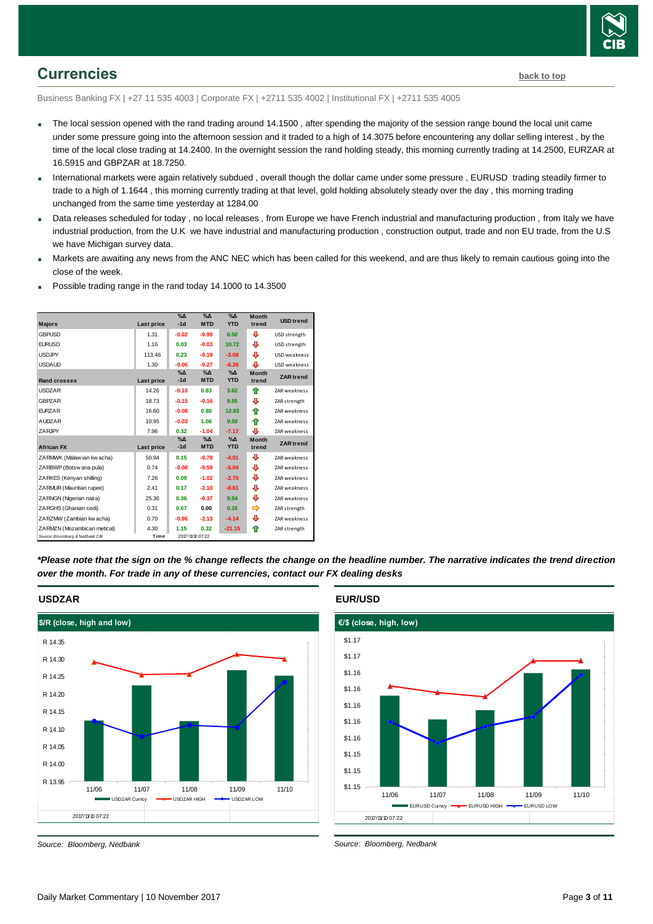

## <span id="page-2-0"></span>**Currencies [back to top](#page-0-0)**

Business Banking FX | +27 11 535 4003 | Corporate FX | +2711 535 4002 | Institutional FX | +2711 535 4005

- The local session opened with the rand trading around 14.1500, after spending the majority of the session range bound the local unit came under some pressure going into the afternoon session and it traded to a high of 14.3075 before encountering any dollar selling interest , by the time of the local close trading at 14.2400. In the overnight session the rand holding steady, this morning currently trading at 14.2500, EURZAR at 16.5915 and GBPZAR at 18.7250.
- International markets were again relatively subdued , overall though the dollar came under some pressure , EURUSD trading steadily firmer to trade to a high of 1.1644 , this morning currently trading at that level, gold holding absolutely steady over the day , this morning trading unchanged from the same time yesterday at 1284.00
- Data releases scheduled for today , no local releases , from Europe we have French industrial and manufacturing production , from Italy we have industrial production, from the U.K we have industrial and manufacturing production , construction output, trade and non EU trade, from the U.S we have Michigan survey data.
- Markets are awaiting any news from the ANC NEC which has been called for this weekend, and are thus likely to remain cautious going into the close of the week.
- Possible trading range in the rand today 14.1000 to 14.3500

| <b>Majors</b>                   | Last price | %∆<br>$-1d$            | $\%$ $\Delta$<br><b>MTD</b> | $\Delta_0$<br><b>YTD</b>    | <b>Month</b><br>trend | <b>USD</b> trend    |
|---------------------------------|------------|------------------------|-----------------------------|-----------------------------|-----------------------|---------------------|
| <b>GBPUSD</b>                   | 1.31       | $-0.02$                | $-0.99$                     | 6.50                        | ⊕                     | USD strength        |
| <b>EURUSD</b>                   | 1.16       | 0.03                   | $-0.03$                     | 10.72                       | ⊕                     | USD strength        |
| <b>USDJPY</b>                   | 113.46     | 0.23                   | $-0.19$                     | $-3.08$                     | ⊕                     | <b>USD</b> weakness |
| <b>USDAUD</b>                   | 1.30       | $-0.06$                | $-0.27$                     | $-6.26$                     | ⊕                     | USD weakness        |
| <b>Rand crosses</b>             | Last price | $\%$ $\Delta$<br>$-1d$ | $\%$ $\Delta$<br><b>MTD</b> | $\%$ $\Delta$<br><b>YTD</b> | <b>Month</b><br>trend | <b>ZAR</b> trend    |
| <b>USDZAR</b>                   | 14.26      | $-0.10$                | 0.83                        | 3.62                        | ⇑                     | <b>ZAR</b> weakness |
| <b>GBPZAR</b>                   | 18.73      | $-0.15$                | $-0.16$                     | 9.55                        | ⊕                     | ZAR strength        |
| <b>EURZAR</b>                   | 16.60      | $-0.08$                | 0.80                        | 12.93                       | ⇑                     | <b>ZAR</b> weakness |
| <b>AUDZAR</b>                   | 10.95      | $-0.03$                | 1.06                        | 9.59                        | ♠                     | ZAR weakness        |
| ZARJPY                          | 7.96       | 0.32                   | $-1.04$                     | $-7.17$                     | ⊕                     | ZAR weakness        |
| <b>African FX</b>               | Last price | $\%$ $\Delta$<br>$-1d$ | $\%$ $\Delta$<br><b>MTD</b> | $% \Delta$<br><b>YTD</b>    | <b>Month</b><br>trend | <b>ZAR</b> trend    |
| ZARMWK (Malaw ian kw acha)      | 50.94      | 0.15                   | $-0.78$                     | $-4.01$                     | ⊕                     | ZAR weakness        |
| ZARBWP (Botsw ana pula)         | 0.74       | $-0.08$                | $-0.59$                     | $-5.04$                     | ⊕                     | ZAR weakness        |
| ZARKES (Kenvan shilling)        | 7.26       | 0.09                   | $-1.02$                     | $-2.70$                     | ⊕                     | ZAR weakness        |
| ZARMUR (Mauritian rupee)        | 2.41       | 0.17                   | $-2.10$                     | $-8.61$                     | ⊕                     | ZAR weakness        |
| ZARNGN (Nigerian naira)         | 25.36      | 0.36                   | $-0.37$                     | 9.54                        | ⊕                     | ZAR weakness        |
| ZARGHS (Ghanian cedi)           | 0.31       | 0.67                   | 0.00                        | 0.16                        |                       | ZAR strength        |
| ZARZMW (Zambian kw acha)        | 0.70       | $-0.96$                | $-2.13$                     | $-4.14$                     | ⊕                     | <b>ZAR</b> weakness |
| ZARMZN (Mozambican metical)     | 4.30       | 1.15                   | 0.32                        | $-21.15$                    | ⇑                     | ZAR strength        |
| Source: Bloomberg & Nedbank CIB | Time       |                        | 2017/11/10 07:22            |                             |                       |                     |

*\*Please note that the sign on the % change reflects the change on the headline number. The narrative indicates the trend direction over the month. For trade in any of these currencies, contact our FX dealing desks*



#### **USDZAR**

*Source: Bloomberg, Nedbank*





*Source: Bloomberg, Nedbank*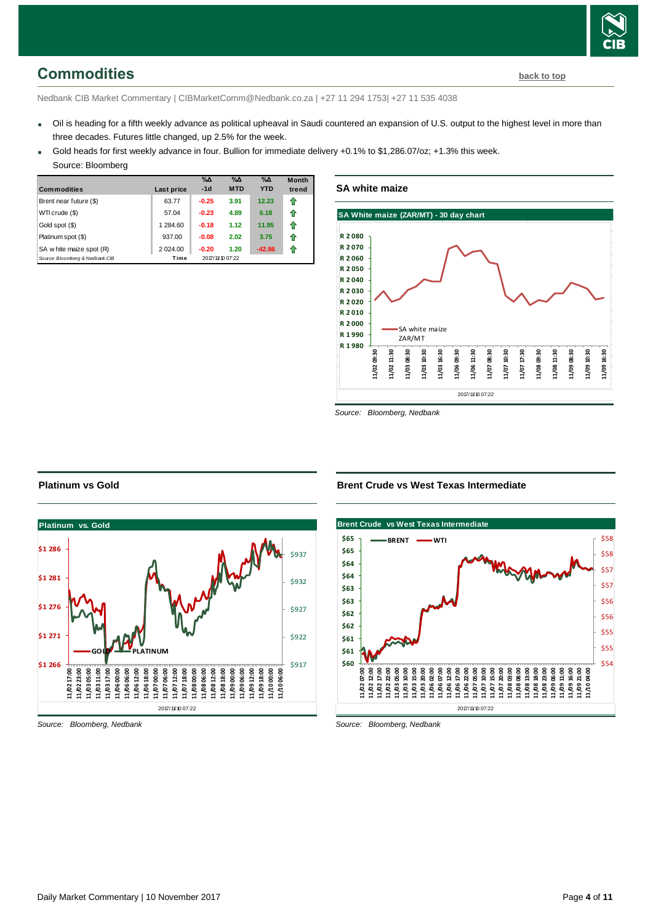<span id="page-3-0"></span>Nedbank CIB Market Commentary | CIBMarketComm@Nedbank.co.za | +27 11 294 1753| +27 11 535 4038

- Oil is heading for a fifth weekly advance as political upheaval in Saudi countered an expansion of U.S. output to the highest level in more than three decades. Futures little changed, up 2.5% for the week.
- Gold heads for first weekly advance in four. Bullion for immediate delivery +0.1% to \$1,286.07/oz; +1.3% this week.
	- Source: Bloomberg

| <b>Commodities</b>              | Last price | $\%$ $\Delta$<br>$-1d$ | $\%$ $\Delta$<br><b>MTD</b> | $\%$ $\Delta$<br><b>YTD</b> | <b>Month</b><br>trend |
|---------------------------------|------------|------------------------|-----------------------------|-----------------------------|-----------------------|
| Brent near future (\$)          | 63.77      | $-0.25$                | 3.91                        | 12.23                       | ⇑                     |
| WTI crude (\$)                  | 57.04      | $-0.23$                | 4.89                        | 6.18                        | ⇑                     |
| Gold spot (\$)                  | 1 284.60   | $-0.18$                | 1.12                        | 11.95                       | ⇑                     |
| Platinum spot (\$)              | 937.00     | $-0.08$                | 2.02                        | 3.75                        | ⇑                     |
| SA w hite maize spot (R)        | 2 0 24.00  | $-0.20$                | 1.20                        | $-42.86$                    | 11                    |
| Source: Bloomberg & Nedbank CIB | Time       |                        | 2017/11/10 07:22            |                             |                       |

**SA white maize**



*Source: Bloomberg, Nedbank*

#### **Platinum vs Gold**



*Source: Bloomberg, Nedbank*

#### **Brent Crude vs West Texas Intermediate**



*Source: Bloomberg, Nedbank*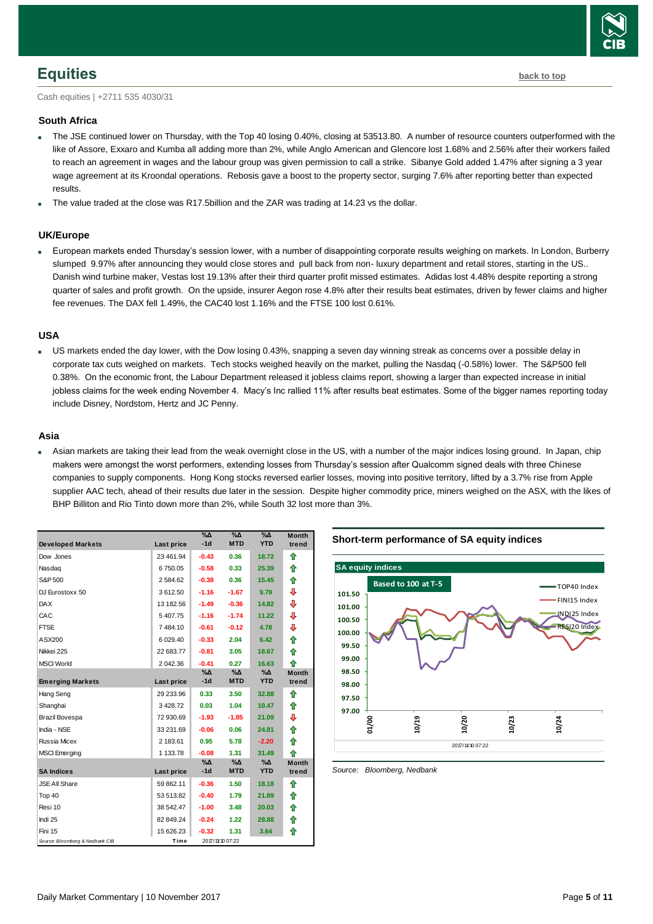

## <span id="page-4-0"></span>**Equities [back to top](#page-0-0)**

Cash equities | +2711 535 4030/31

#### **South Africa**

- The JSE continued lower on Thursday, with the Top 40 losing 0.40%, closing at 53513.80. A number of resource counters outperformed with the like of Assore, Exxaro and Kumba all adding more than 2%, while Anglo American and Glencore lost 1.68% and 2.56% after their workers failed to reach an agreement in wages and the labour group was given permission to call a strike. Sibanye Gold added 1.47% after signing a 3 year wage agreement at its Kroondal operations. Rebosis gave a boost to the property sector, surging 7.6% after reporting better than expected results.
- The value traded at the close was R17.5billion and the ZAR was trading at 14.23 vs the dollar.

## **UK/Europe**

 European markets ended Thursday's session lower, with a number of disappointing corporate results weighing on markets. In London, Burberry slumped 9.97% after announcing they would close stores and pull back from non- luxury department and retail stores, starting in the US.. Danish wind turbine maker, Vestas lost 19.13% after their third quarter profit missed estimates. Adidas lost 4.48% despite reporting a strong quarter of sales and profit growth. On the upside, insurer Aegon rose 4.8% after their results beat estimates, driven by fewer claims and higher fee revenues. The DAX fell 1.49%, the CAC40 lost 1.16% and the FTSE 100 lost 0.61%.

#### **USA**

 US markets ended the day lower, with the Dow losing 0.43%, snapping a seven day winning streak as concerns over a possible delay in corporate tax cuts weighed on markets. Tech stocks weighed heavily on the market, pulling the Nasdaq (-0.58%) lower. The S&P500 fell 0.38%. On the economic front, the Labour Department released it jobless claims report, showing a larger than expected increase in initial jobless claims for the week ending November 4. Macy's Inc rallied 11% after results beat estimates. Some of the bigger names reporting today include Disney, Nordstom, Hertz and JC Penny.

#### **Asia**

 Asian markets are taking their lead from the weak overnight close in the US, with a number of the major indices losing ground. In Japan, chip makers were amongst the worst performers, extending losses from Thursday's session after Qualcomm signed deals with three Chinese companies to supply components. Hong Kong stocks reversed earlier losses, moving into positive territory, lifted by a 3.7% rise from Apple supplier AAC tech, ahead of their results due later in the session. Despite higher commodity price, miners weighed on the ASX, with the likes of BHP Billiton and Rio Tinto down more than 2%, while South 32 lost more than 3%.

| <b>Developed Markets</b>        | Last price | $\%$ $\Delta$<br>$-1d$ | %Δ<br><b>MTD</b> | $\%$ $\Delta$<br><b>YTD</b> | <b>Month</b><br>trend |
|---------------------------------|------------|------------------------|------------------|-----------------------------|-----------------------|
| Dow Jones                       | 23 461.94  | $-0.43$                | 0.36             | 18.72                       | ⇑                     |
| Nasdag                          | 6750.05    | $-0.58$                | 0.33             | 25.39                       | ⇑                     |
| S&P 500                         | 2 584.62   | $-0.38$                | 0.36             | 15.45                       | ⇑                     |
| DJ Eurostoxx 50                 | 3612.50    | $-1.16$                | $-1.67$          | 9.79                        | ⊕                     |
|                                 |            |                        |                  |                             |                       |
| <b>DAX</b>                      | 13 182.56  | $-1.49$                | $-0.36$          | 14.82                       | ⇩                     |
| CAC                             | 5407.75    | $-1.16$                | $-1.74$          | 11.22                       | ⇩                     |
| <b>FTSE</b>                     | 7484.10    | $-0.61$                | $-0.12$          | 4.78                        | ⊕                     |
| ASX200                          | 6 029.40   | $-0.33$                | 2.04             | 6.42                        | ⇑                     |
| Nikkei 225                      | 22 683.77  | $-0.81$                | 3.05             | 18.67                       | ⇑                     |
| <b>MSCI World</b>               | 2 042.36   | $-0.41$                | 0.27             | 16.63                       | 全                     |
|                                 |            | %Δ                     | %∆               | %Δ                          | <b>Month</b>          |
| <b>Emerging Markets</b>         | Last price | $-1d$                  | <b>MTD</b>       | <b>YTD</b>                  | trend                 |
| Hang Seng                       | 29 233.96  | 0.33                   | 3.50             | 32.88                       | ⇑                     |
| Shanghai                        | 3428.72    | 0.03                   | 1.04             | 10.47                       | ⇑                     |
| <b>Brazil Bovespa</b>           | 72 930.69  | $-1.93$                | $-1.85$          | 21.09                       | ⇩                     |
| India - NSE                     | 33 231.69  | $-0.06$                | 0.06             | 24.81                       | ⇑                     |
| Russia Micex                    | 2 183.61   | 0.95                   | 5.78             | $-2.20$                     | ⇑                     |
| <b>MSCI</b> Emerging            | 1 133.78   | $-0.08$                | 1.31             | 31.49                       | ♠                     |
|                                 |            | %∆                     | %∆               | %∆                          | <b>Month</b>          |
| <b>SA Indices</b>               | Last price | $-1d$                  | <b>MTD</b>       | <b>YTD</b>                  | trend                 |
| <b>JSE All Share</b>            | 59 862.11  | $-0.36$                | 1.50             | 18.18                       | ⇑                     |
| Top 40                          | 53 513.82  | $-0.40$                | 1.79             | 21.89                       | ⇑                     |
| Resi 10                         | 38 542.47  | $-1.00$                | 3.48             | 20.03                       | ⇑                     |
| Indi 25                         | 82 849.24  | $-0.24$                | 1.22             | 28.88                       | ⇑                     |
| Fini 15                         | 15 626.23  | $-0.32$                | 1.31             | 3.64                        | ⇑                     |
| Source: Bloomberg & Nedbank CIB | Time       |                        | 2017/11/10 07:22 |                             |                       |

**Short-term performance of SA equity indices**



<span id="page-4-1"></span>*Source: Bloomberg, Nedbank*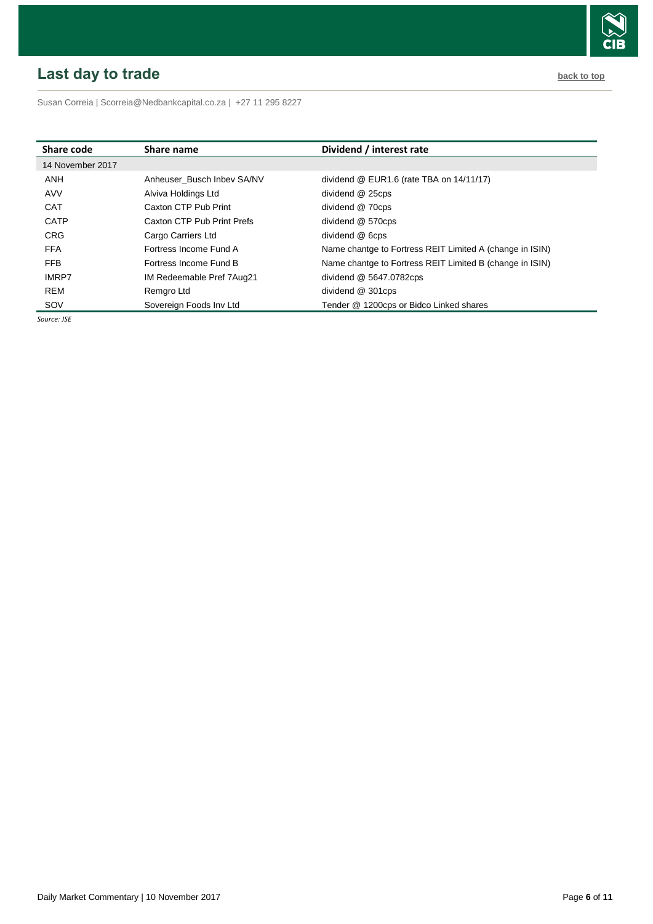# <span id="page-5-0"></span>**Last day to trade back to the contract of the contract of the contract of the contract of the contract of the contract of the contract of the contract of the contract of the contract of the contract of the contract of t**



Susan Correia [| Scorreia@Nedbankcapital.co.za](mailto:Scorreia@Nedbankcapital.co.za) | +27 11 295 8227

| Share code       | Share name                 | Dividend / interest rate                                 |
|------------------|----------------------------|----------------------------------------------------------|
| 14 November 2017 |                            |                                                          |
| ANH              | Anheuser Busch Inbev SA/NV | dividend $@$ EUR1.6 (rate TBA on $14/11/17$ )            |
| AVV              | Alviva Holdings Ltd        | dividend @ 25cps                                         |
| <b>CAT</b>       | Caxton CTP Pub Print       | dividend @ 70cps                                         |
| <b>CATP</b>      | Caxton CTP Pub Print Prefs | dividend @ 570cps                                        |
| <b>CRG</b>       | Cargo Carriers Ltd         | dividend @ 6cps                                          |
| <b>FFA</b>       | Fortress Income Fund A     | Name chantge to Fortress REIT Limited A (change in ISIN) |
| <b>FFB</b>       | Fortress Income Fund B     | Name chantge to Fortress REIT Limited B (change in ISIN) |
| <b>IMRP7</b>     | IM Redeemable Pref 7Aug21  | dividend @ 5647.0782cps                                  |
| <b>REM</b>       | Remgro Ltd                 | dividend @ 301cps                                        |
| SOV              | Sovereign Foods Inv Ltd    | Tender @ 1200cps or Bidco Linked shares                  |

*Source: JSE*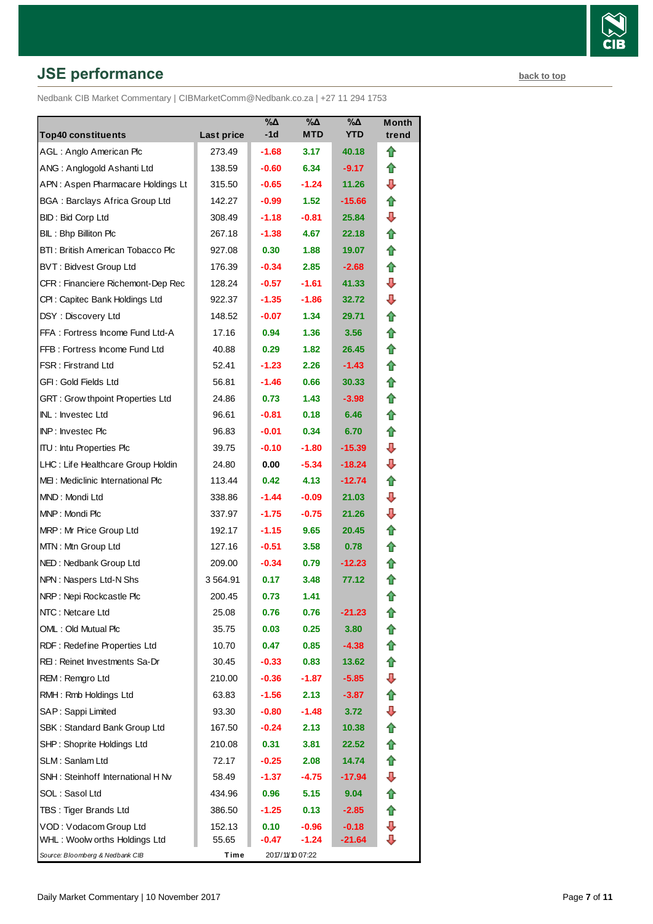# **JSE performance [back to top](#page-0-0) back to top**

Nedbank CIB Market Commentary | CIBMarketComm@Nedbank.co.za | +27 11 294 1753

| <b>Top40 constituents</b>               | Last price | %Δ<br>-1d | $\%$ $\Delta$<br><b>MTD</b> | %Δ<br><b>YTD</b> | <b>Month</b><br>trend |
|-----------------------------------------|------------|-----------|-----------------------------|------------------|-----------------------|
| AGL: Anglo American Plc                 | 273.49     | $-1.68$   | 3.17                        | 40.18            | ⇑                     |
| ANG: Anglogold Ashanti Ltd              | 138.59     | $-0.60$   | 6.34                        | $-9.17$          | ⇑                     |
| APN: Aspen Pharmacare Holdings Lt       | 315.50     | $-0.65$   | $-1.24$                     | 11.26            | ⊕                     |
| <b>BGA: Barclays Africa Group Ltd</b>   | 142.27     | $-0.99$   | 1.52                        | -15.66           | ⇑                     |
| BID: Bid Corp Ltd                       | 308.49     | $-1.18$   | $-0.81$                     | 25.84            | ⊕                     |
| BIL: Bhp Billiton Plc                   | 267.18     | $-1.38$   | 4.67                        | 22.18            | ⇑                     |
| BTI: British American Tobacco Plc       | 927.08     | 0.30      | 1.88                        | 19.07            | ⇑                     |
| <b>BVT: Bidvest Group Ltd</b>           | 176.39     | $-0.34$   | 2.85                        | $-2.68$          | ⇑                     |
| CFR : Financiere Richemont-Dep Rec      | 128.24     | $-0.57$   | $-1.61$                     | 41.33            | ⊕                     |
| CPI : Capitec Bank Holdings Ltd         | 922.37     | $-1.35$   | $-1.86$                     | 32.72            | ⊕                     |
| DSY: Discovery Ltd                      | 148.52     | $-0.07$   | 1.34                        | 29.71            | ⇑                     |
| FFA: Fortress Income Fund Ltd-A         | 17.16      | 0.94      | 1.36                        | 3.56             | ⇑                     |
| FFB: Fortress Income Fund Ltd           | 40.88      | 0.29      | 1.82                        | 26.45            | ⇑                     |
| FSR: Firstrand Ltd                      | 52.41      | $-1.23$   | 2.26                        | $-1.43$          | ⇑                     |
| GFI: Gold Fields Ltd                    | 56.81      | $-1.46$   | 0.66                        | 30.33            | ⇑                     |
| <b>GRT: Grow thpoint Properties Ltd</b> | 24.86      | 0.73      | 1.43                        | $-3.98$          | ⇑                     |
| INL: Investec Ltd                       | 96.61      | $-0.81$   | 0,18                        | 6.46             | ⇑                     |
| <b>INP:</b> Invested Plc                | 96.83      | $-0.01$   | 0.34                        | 6.70             | ⇑                     |
| <b>ITU:</b> Intu Properties Plc         | 39.75      | $-0.10$   | $-1.80$                     | -15.39           | ⊕                     |
| LHC: Life Healthcare Group Holdin       | 24.80      | 0.00      | $-5.34$                     | -18.24           | ┺                     |
| MEI: Mediclinic International Plc       | 113.44     | 0.42      | 4.13                        | $-12.74$         | ⇑                     |
| MND: Mondi Ltd                          | 338.86     | $-1.44$   | $-0.09$                     | 21.03            | ⊕                     |
| MNP: Mondi Plc                          | 337.97     | $-1.75$   | $-0.75$                     | 21.26            | ⊕                     |
| MRP: Mr Price Group Ltd                 | 192.17     | $-1.15$   | 9.65                        | 20.45            | ⇑                     |
| MTN: Mtn Group Ltd                      | 127.16     | $-0.51$   | 3.58                        | 0.78             | ⇑                     |
| NED: Nedbank Group Ltd                  | 209.00     | $-0.34$   | 0.79                        | $-12.23$         | ⇑                     |
| NPN: Naspers Ltd-N Shs                  | 3 564.91   | 0.17      | 3.48                        | 77.12            | fr                    |
| NRP: Nepi Rockcastle Plc                | 200.45     | 0.73      | 1.41                        |                  | ✿                     |
| NTC: Netcare Ltd                        | 25.08      | 0.76      | 0.76                        | -21.23           | 10                    |
| OML: Old Mutual Plc                     | 35.75      | 0.03      | 0.25                        | 3.80             | n                     |
| RDF: Redefine Properties Ltd            | 10.70      | 0.47      | 0.85                        | $-4.38$          | t                     |
| REI: Reinet Investments Sa-Dr           | 30.45      | $-0.33$   | 0.83                        | 13.62            | ⇑                     |
| REM: Remgro Ltd                         | 210.00     | $-0.36$   | $-1.87$                     | $-5.85$          | ⇩                     |
| RMH: Rmb Holdings Ltd                   | 63.83      | $-1.56$   | 2.13                        | $-3.87$          | ⇑                     |
| SAP: Sappi Limited                      | 93.30      | $-0.80$   | -1.48                       | 3.72             | ⇩                     |
| SBK: Standard Bank Group Ltd            | 167.50     | $-0.24$   | 2.13                        | 10.38            | ⇑                     |
| SHP: Shoprite Holdings Ltd              | 210.08     | 0.31      | 3.81                        | 22.52            |                       |
| SLM: Sanlam Ltd                         | 72.17      | $-0.25$   | 2.08                        | 14.74            | ⇑                     |
| SNH: Steinhoff International H Nv       | 58.49      | $-1.37$   | -4.75                       | -17.94           | ⇩                     |
| SOL: Sasol Ltd                          | 434.96     | 0.96      | 5.15                        | 9.04             | ⇑                     |
| TBS: Tiger Brands Ltd                   | 386.50     | $-1.25$   | 0.13                        | -2.85            | fr                    |
| VOD: Vodacom Group Ltd                  | 152.13     | 0.10      | $-0.96$                     | $-0.18$          | ⇩                     |
| WHL: Woolw orths Holdings Ltd           | 55.65      | $-0.47$   | $-1.24$                     | -21.64           | ⊕                     |
| Source: Bloomberg & Nedbank CIB         | Time       |           | 2017/11/10 07:22            |                  |                       |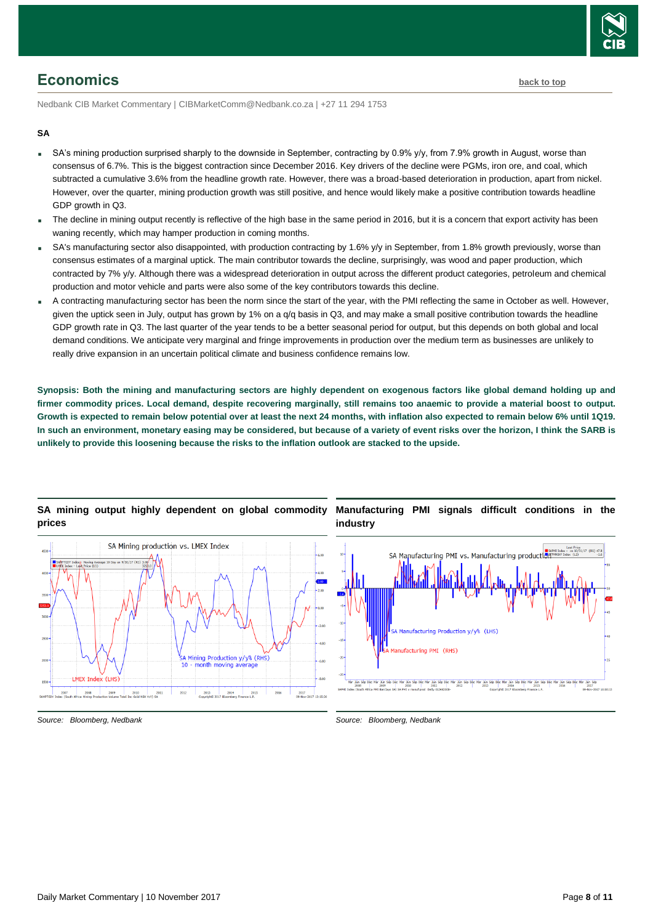

# <span id="page-7-0"></span>**Economics [back to top](#page-0-0)**

Nedbank CIB Market Commentary | CIBMarketComm@Nedbank.co.za | +27 11 294 1753

#### **SA**

- SA's mining production surprised sharply to the downside in September, contracting by 0.9% y/y, from 7.9% growth in August, worse than consensus of 6.7%. This is the biggest contraction since December 2016. Key drivers of the decline were PGMs, iron ore, and coal, which subtracted a cumulative 3.6% from the headline growth rate. However, there was a broad-based deterioration in production, apart from nickel. However, over the quarter, mining production growth was still positive, and hence would likely make a positive contribution towards headline GDP growth in Q3.
- The decline in mining output recently is reflective of the high base in the same period in 2016, but it is a concern that export activity has been waning recently, which may hamper production in coming months.
- SA's manufacturing sector also disappointed, with production contracting by 1.6% y/y in September, from 1.8% growth previously, worse than consensus estimates of a marginal uptick. The main contributor towards the decline, surprisingly, was wood and paper production, which contracted by 7% y/y. Although there was a widespread deterioration in output across the different product categories, petroleum and chemical production and motor vehicle and parts were also some of the key contributors towards this decline.
- A contracting manufacturing sector has been the norm since the start of the year, with the PMI reflecting the same in October as well. However, given the uptick seen in July, output has grown by 1% on a q/q basis in Q3, and may make a small positive contribution towards the headline GDP growth rate in Q3. The last quarter of the year tends to be a better seasonal period for output, but this depends on both global and local demand conditions. We anticipate very marginal and fringe improvements in production over the medium term as businesses are unlikely to really drive expansion in an uncertain political climate and business confidence remains low.

**Synopsis: Both the mining and manufacturing sectors are highly dependent on exogenous factors like global demand holding up and firmer commodity prices. Local demand, despite recovering marginally, still remains too anaemic to provide a material boost to output. Growth is expected to remain below potential over at least the next 24 months, with inflation also expected to remain below 6% until 1Q19. In such an environment, monetary easing may be considered, but because of a variety of event risks over the horizon, I think the SARB is unlikely to provide this loosening because the risks to the inflation outlook are stacked to the upside.** 



## **SA mining output highly dependent on global commodity prices**

*Source: Bloomberg, Nedbank*

*Source: Bloomberg, Nedbank*

**Manufacturing PMI signals difficult conditions in the**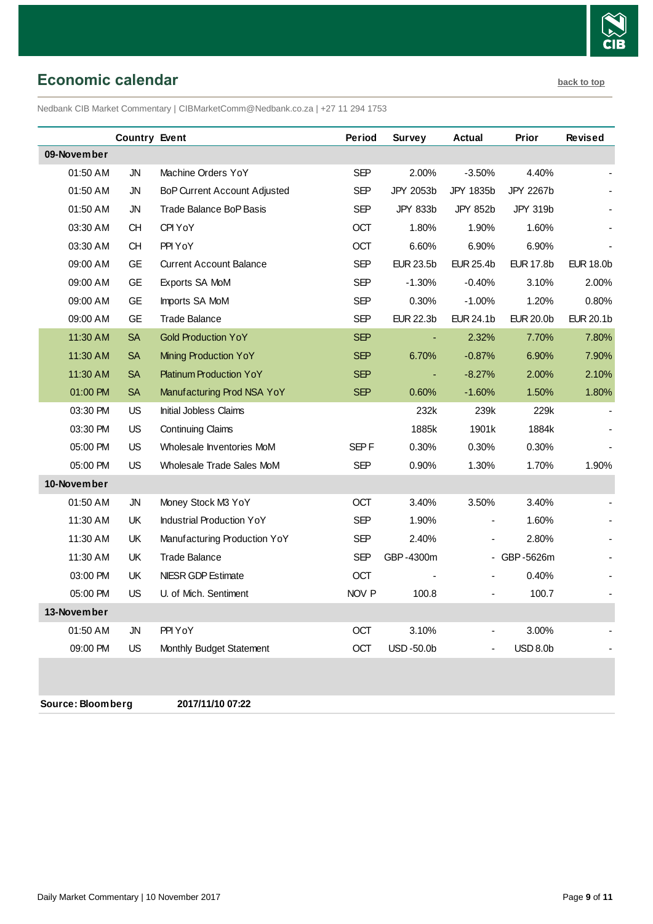

<span id="page-8-0"></span>**Economic calendar [back to top](#page-0-0)** 

Nedbank CIB Market Commentary | CIBMarketComm@Nedbank.co.za | +27 11 294 1753

|             | <b>Country Event</b> |                                     | Period     | Survey           | <b>Actual</b>    | Prior            | <b>Revised</b>   |
|-------------|----------------------|-------------------------------------|------------|------------------|------------------|------------------|------------------|
| 09-November |                      |                                     |            |                  |                  |                  |                  |
| 01:50 AM    | <b>JN</b>            | Machine Orders YoY                  | <b>SEP</b> | 2.00%            | $-3.50%$         | 4.40%            |                  |
| 01:50 AM    | JN                   | <b>BoP Current Account Adjusted</b> | <b>SEP</b> | JPY 2053b        | JPY 1835b        | JPY 2267b        |                  |
| 01:50 AM    | JN                   | Trade Balance BoP Basis             | <b>SEP</b> | JPY 833b         | <b>JPY 852b</b>  | JPY 319b         |                  |
| 03:30 AM    | <b>CH</b>            | CPI YoY                             | OCT        | 1.80%            | 1.90%            | 1.60%            |                  |
| 03:30 AM    | CH                   | PPI YoY                             | OCT        | 6.60%            | 6.90%            | 6.90%            |                  |
| 09:00 AM    | <b>GE</b>            | <b>Current Account Balance</b>      | <b>SEP</b> | <b>EUR 23.5b</b> | <b>EUR 25.4b</b> | EUR 17.8b        | <b>EUR 18.0b</b> |
| 09:00 AM    | GE.                  | Exports SA MoM                      | <b>SEP</b> | $-1.30%$         | $-0.40%$         | 3.10%            | 2.00%            |
| 09:00 AM    | <b>GE</b>            | Imports SA MoM                      | <b>SEP</b> | 0.30%            | $-1.00%$         | 1.20%            | 0.80%            |
| 09:00 AM    | GE.                  | <b>Trade Balance</b>                | <b>SEP</b> | <b>EUR 22.3b</b> | EUR 24.1b        | <b>EUR 20.0b</b> | <b>EUR 20.1b</b> |
| 11:30 AM    | <b>SA</b>            | <b>Gold Production YoY</b>          | <b>SEP</b> |                  | 2.32%            | 7.70%            | 7.80%            |
| 11:30 AM    | <b>SA</b>            | <b>Mining Production YoY</b>        | <b>SEP</b> | 6.70%            | $-0.87%$         | 6.90%            | 7.90%            |
| 11:30 AM    | <b>SA</b>            | <b>Platinum Production YoY</b>      | <b>SEP</b> | $\blacksquare$   | $-8.27%$         | 2.00%            | 2.10%            |
| 01:00 PM    | <b>SA</b>            | Manufacturing Prod NSA YoY          | <b>SEP</b> | 0.60%            | $-1.60%$         | 1.50%            | 1.80%            |
| 03:30 PM    | <b>US</b>            | Initial Jobless Claims              |            | 232k             | 239k             | 229k             |                  |
| 03:30 PM    | <b>US</b>            | <b>Continuing Claims</b>            |            | 1885k            | 1901k            | 1884k            |                  |
| 05:00 PM    | <b>US</b>            | Wholesale Inventories MoM           | SEP F      | 0.30%            | 0.30%            | 0.30%            |                  |
| 05:00 PM    | US                   | Wholesale Trade Sales MoM           | SEP        | 0.90%            | 1.30%            | 1.70%            | 1.90%            |
| 10-November |                      |                                     |            |                  |                  |                  |                  |
| 01:50 AM    | JN                   | Money Stock M3 YoY                  | OCT        | 3.40%            | 3.50%            | 3.40%            |                  |
| 11:30 AM    | <b>UK</b>            | <b>Industrial Production YoY</b>    | <b>SEP</b> | 1.90%            |                  | 1.60%            |                  |
| 11:30 AM    | UK                   | Manufacturing Production YoY        | <b>SEP</b> | 2.40%            | $\blacksquare$   | 2.80%            |                  |
| 11:30 AM    | UK                   | <b>Trade Balance</b>                | <b>SEP</b> | GBP-4300m        |                  | - GBP-5626m      |                  |
| 03:00 PM    | UK                   | <b>NIESR GDP Estimate</b>           | OCT        |                  |                  | 0.40%            |                  |
| 05:00 PM    | <b>US</b>            | U. of Mich. Sentiment               | NOV P      | 100.8            |                  | 100.7            |                  |
| 13-November |                      |                                     |            |                  |                  |                  |                  |
| 01:50 AM    | JN                   | PPI YoY                             | <b>OCT</b> | 3.10%            |                  | 3.00%            |                  |
| 09:00 PM    | <b>US</b>            | Monthly Budget Statement            | OCT        | USD-50.0b        | $\blacksquare$   | <b>USD 8.0b</b>  |                  |
|             |                      |                                     |            |                  |                  |                  |                  |

**Source: Bloomberg 2017/11/10 07:22**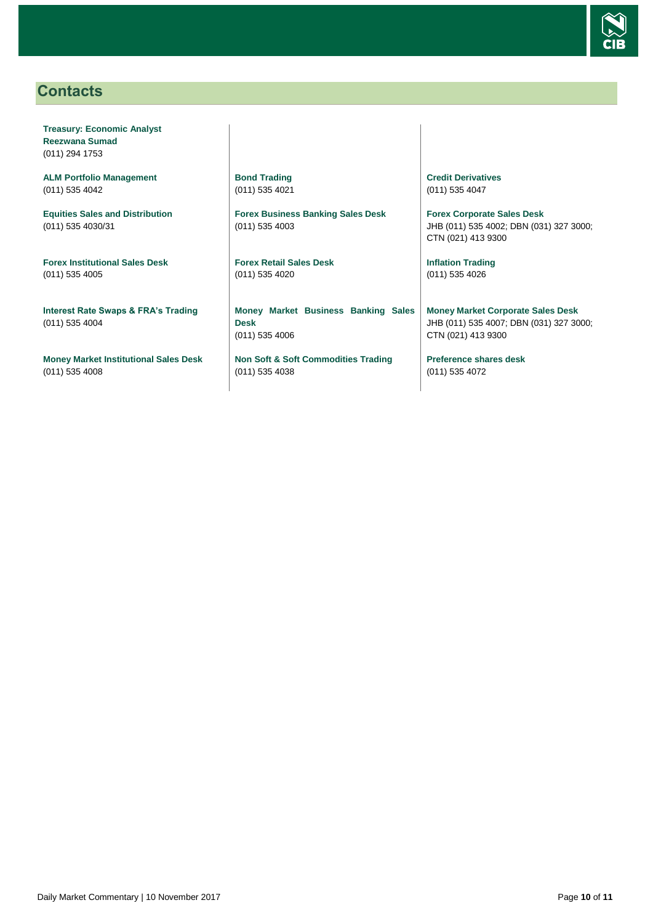

# <span id="page-9-0"></span>**Contacts**

**Treasury: Economic Analyst Reezwana Sumad** (011) 294 1753

**ALM Portfolio Management** (011) 535 4042

**Equities Sales and Distribution** (011) 535 4030/31

**Forex Institutional Sales Desk** (011) 535 4005

**Interest Rate Swaps & FRA's Trading** (011) 535 4004

**Money Market Institutional Sales Desk** (011) 535 4008

**Bond Trading** (011) 535 4021

**Forex Business Banking Sales Desk** (011) 535 4003

**Forex Retail Sales Desk** (011) 535 4020

**Money Market Business Banking Sales Desk** (011) 535 4006

**Non Soft & Soft Commodities Trading** (011) 535 4038

**Credit Derivatives**  (011) 535 4047

**Forex Corporate Sales Desk** JHB (011) 535 4002; DBN (031) 327 3000; CTN (021) 413 9300

**Inflation Trading** (011) 535 4026

**Money Market Corporate Sales Desk** JHB (011) 535 4007; DBN (031) 327 3000; CTN (021) 413 9300

**Preference shares desk** (011) 535 4072